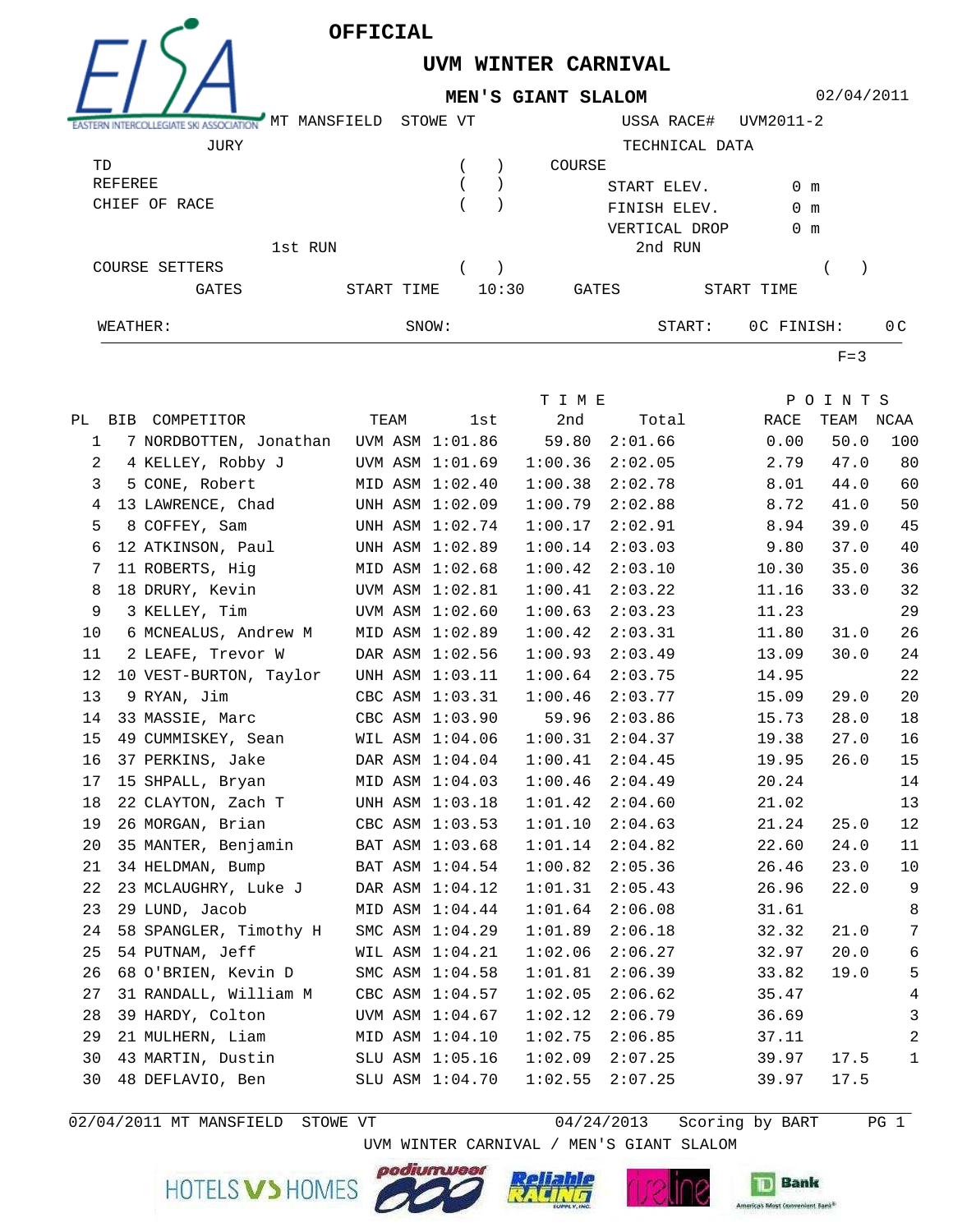

## **UVM WINTER CARNIVAL MEN'S GIANT SLALOM**

02/04/2011

| ASTERN INTERCOLLEGIATE SKI<br>ASSOCIATION | MT MANSFIELD | STOWE VT |       |        | USSA RACE#     | UVM2011-2     |                |
|-------------------------------------------|--------------|----------|-------|--------|----------------|---------------|----------------|
| JURY                                      |              |          |       |        | TECHNICAL DATA |               |                |
| TD                                        |              |          |       | COURSE |                |               |                |
| REFEREE                                   |              |          |       |        | START ELEV.    | 0 m           |                |
| CHIEF OF RACE                             |              |          |       |        | FINISH ELEV.   | $0 \text{ m}$ |                |
|                                           |              |          |       |        | VERTICAL DROP  | 0 m           |                |
|                                           | 1st RUN      |          |       |        | 2nd RUN        |               |                |
| COURSE SETTERS                            |              |          |       |        |                |               |                |
| <b>GATES</b>                              | START TIME   |          | 10:30 | GATES  |                | START TIME    |                |
| WEATHER:                                  |              | SNOW:    |       |        | START:         | OC FINISH:    | 0 <sup>C</sup> |

 $F=3$ 

|                |                                        |                 | T I M E            | POINTS                           |
|----------------|----------------------------------------|-----------------|--------------------|----------------------------------|
|                | PL BIB COMPETITOR                      | TEAM<br>lst     | 2nd<br>Total Total | RACE<br>TEAM NCAA                |
| 1              | 7 NORDBOTTEN, Jonathan UVM ASM 1:01.86 |                 | 59.80<br>2:01.66   | 0.00<br>50.0<br>100              |
| $\overline{a}$ | 4 KELLEY, Robby J                      | UVM ASM 1:01.69 | 1:00.36<br>2:02.05 | 2.79<br>47.0<br>80               |
| 3              | 5 CONE, Robert                         | MID ASM 1:02.40 | 1:00.38<br>2:02.78 | 60<br>8.01<br>44.0               |
| 4              | 13 LAWRENCE, Chad                      | UNH ASM 1:02.09 | 1:00.79<br>2:02.88 | 50<br>8.72<br>41.0               |
| 5              | 8 COFFEY, Sam                          | UNH ASM 1:02.74 | 2:02.91<br>1:00.17 | 45<br>8.94<br>39.0               |
| 6              | 12 ATKINSON, Paul                      | UNH ASM 1:02.89 | 2:03.03<br>1:00.14 | 40<br>9.80<br>37.0               |
| 7              | 11 ROBERTS, Hig                        | MID ASM 1:02.68 | 1:00.42<br>2:03.10 | 36<br>10.30<br>35.0              |
| 8              | 18 DRURY, Kevin                        | UVM ASM 1:02.81 | 1:00.41<br>2:03.22 | 32<br>33.0<br>11.16              |
| 9              | 3 KELLEY, Tim                          | UVM ASM 1:02.60 | 2:03.23<br>1:00.63 | 29<br>11.23                      |
| 10             | 6 MCNEALUS, Andrew M                   | MID ASM 1:02.89 | 1:00.42<br>2:03.31 | 26<br>11.80<br>31.0              |
| 11             | 2 LEAFE, Trevor W                      | DAR ASM 1:02.56 | 1:00.93<br>2:03.49 | $2\sqrt{4}$<br>30.0<br>13.09     |
| 12             | 10 VEST-BURTON, Taylor                 | UNH ASM 1:03.11 | 1:00.64<br>2:03.75 | 22<br>14.95                      |
| 13             | 9 RYAN, Jim                            | CBC ASM 1:03.31 | 1:00.46<br>2:03.77 | 20<br>29.0<br>15.09              |
| 14             | 33 MASSIE, Marc                        | CBC ASM 1:03.90 | 59.96<br>2:03.86   | 18<br>15.73<br>28.0              |
| 15             | 49 CUMMISKEY, Sean                     | WIL ASM 1:04.06 | 1:00.31<br>2:04.37 | 16<br>19.38<br>27.0              |
| 16             | 37 PERKINS, Jake                       | DAR ASM 1:04.04 | 1:00.41<br>2:04.45 | 15<br>26.0<br>19.95              |
| 17             | 15 SHPALL, Bryan                       | MID ASM 1:04.03 | 1:00.46<br>2:04.49 | 14<br>20.24                      |
| 18             | 22 CLAYTON, Zach T                     | UNH ASM 1:03.18 | 1:01.42<br>2:04.60 | 13<br>21.02                      |
| 19             | 26 MORGAN, Brian                       | CBC ASM 1:03.53 | 2:04.63<br>1:01.10 | 12<br>21.24<br>25.0              |
| 20             | 35 MANTER, Benjamin                    | BAT ASM 1:03.68 | 1:01.14<br>2:04.82 | 22.60<br>24.0<br>11              |
| 21             | 34 HELDMAN, Bump                       | BAT ASM 1:04.54 | 1:00.82<br>2:05.36 | 23.0<br>10<br>26.46              |
| 22             | 23 MCLAUGHRY, Luke J                   | DAR ASM 1:04.12 | 1:01.31<br>2:05.43 | 9<br>26.96<br>22.0               |
| 23             | 29 LUND, Jacob                         | MID ASM 1:04.44 | 1:01.64<br>2:06.08 | 8<br>31.61                       |
| 24             | 58 SPANGLER, Timothy H                 | SMC ASM 1:04.29 | 1:01.89<br>2:06.18 | $7\phantom{.0}$<br>32.32<br>21.0 |
| 25             | 54 PUTNAM, Jeff                        | WIL ASM 1:04.21 | 1:02.06<br>2:06.27 | $\sqrt{6}$<br>32.97<br>20.0      |
| 26             | 68 O'BRIEN, Kevin D                    | SMC ASM 1:04.58 | 1:01.81<br>2:06.39 | $\overline{5}$<br>33.82<br>19.0  |
| 27             | 31 RANDALL, William M                  | CBC ASM 1:04.57 | 1:02.05<br>2:06.62 | $\,4$<br>35.47                   |
| 28             | 39 HARDY, Colton                       | UVM ASM 1:04.67 | 1:02.12<br>2:06.79 | $\mathbf{3}$<br>36.69            |
| 29             | 21 MULHERN, Liam                       | MID ASM 1:04.10 | 1:02.75<br>2:06.85 | $\mathbf{2}$<br>37.11            |
| 30             | 43 MARTIN, Dustin                      | SLU ASM 1:05.16 | 1:02.09<br>2:07.25 | 39.97<br>17.5<br>1               |
| 30             | 48 DEFLAVIO, Ben                       | SLU ASM 1:04.70 | 1:02.55<br>2:07.25 | 39.97<br>17.5                    |
|                |                                        |                 |                    |                                  |

02/04/2011 MT MANSFIELD STOWE VT  $04/24/2013$  Scoring by BART PG 1

UVM WINTER CARNIVAL / MEN'S GIANT SLALOM